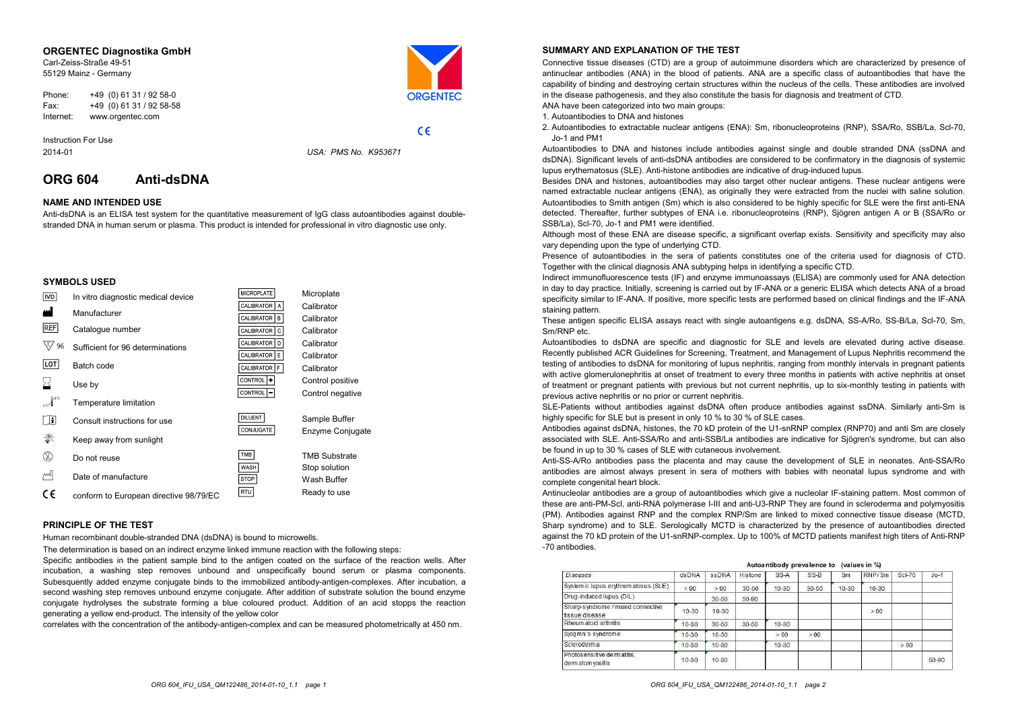#### **ORGENTEC Diagnostika GmbH**

Carl-Zeiss-Straße 49-51 55129 Mainz - Germany



 $C \in$ 

Phone: +49 (0) 61 31 / 92 58-0 Fax: +49 (0) 61 31 / 92 58-58 Internet: www.orgentec.com

Instruction For Use 2014-01

*USA: PMS No. K953671*

# **ORG 604 Anti-dsDNA**

# **NAME AND INTENDED USE**

Anti-dsDNA is an ELISA test system for the quantitative measurement of IgG class autoantibodies against doublestranded DNA in human serum or plasma. This product is intended for professional in vitro diagnostic use only.

### **SYMBOLS USED**

| <b>IVD</b> | In vitro diagnostic medical device     | <b>MICROPLATE</b>                 | Microplate                   |
|------------|----------------------------------------|-----------------------------------|------------------------------|
| ш          |                                        | <b>CALIBRATOR</b><br>$\mathsf{A}$ | Calibrator                   |
|            | Manufacturer                           | <b>CALIBRATOR</b><br>B            | Calibrator                   |
| <b>REF</b> | Catalogue number                       | <b>CALIBRATOR</b><br>C            | Calibrator                   |
| 96         | Sufficient for 96 determinations       | <b>CALIBRATOR</b><br>D            | Calibrator                   |
|            |                                        | <b>CALIBRATOR</b><br>E            | Calibrator                   |
| LOT        | Batch code                             | <b>CALIBRATOR</b><br>F.           | Calibrator                   |
|            | Use by                                 | CONTROL +                         | Control positive             |
|            |                                        | <b>CONTROL</b>                    | Control negative             |
|            | Temperature limitation                 |                                   |                              |
| Œ          | Consult instructions for use           | <b>DILUENT</b>                    | Sample Buffer                |
| 类          | Keep away from sunlight                | CONJUGATE                         | Enzyme Conjugate             |
| ▧          |                                        | <b>TMB</b>                        | <b>TMB Substrate</b>         |
|            | Do not reuse                           | WASH                              |                              |
| اسم        | Date of manufacture                    | STOP                              | Stop solution<br>Wash Buffer |
|            |                                        |                                   |                              |
| €          | conform to European directive 98/79/EC | RTU                               | Ready to use                 |

#### **PRINCIPLE OF THE TEST**

Human recombinant double-stranded DNA (dsDNA) is bound to microwells.

The determination is based on an indirect enzyme linked immune reaction with the following steps:

Specific antibodies in the patient sample bind to the antigen coated on the surface of the reaction wells. After incubation, <sup>a</sup> washing step removes unbound and unspecifically bound serum or plasma components. Subesquently added enzyme conjugate binds to the immobilized antibody-antigen-complexes. After incubation, a second washing step removes unbound enzyme conjugate. After addition of substrate solution the bound enzyme conjugate hydrolyses the substrate forming a blue coloured product. Addition of an acid stopps the reaction generating a yellow end-product. The intensity of the yellow color

correlates with the concentration of the antibody-antigen-complex and can be measured photometrically at 450 nm.

### **SUMMARY AND EXPLANATION OF THE TEST**

Connective tissue diseases (CTD) are <sup>a</sup> group of autoimmune disorders which are characterized by presence of antinuclear antibodies (ANA) in the blood of patients. ANA are a specific class of autoantibodies that have the capability of binding and destroying certain structures within the nucleus of the cells. These antibodies are involved in the disease pathogenesis, and they also constitute the basis for diagnosis and treatment of CTD.

ANA have been categorized into two main groups:

1. Autoantibodies to DNA and histones

2. Autoantibodies to extractable nuclear antigens (ENA): Sm, ribonucleoproteins (RNP), SSA/Ro, SSB/La, Scl-70, Jo-1 and PM1

Autoantibodies to DNA and histones include antibodies against single and double stranded DNA (ssDNA and dsDNA). Significant levels of anti-dsDNA antibodies are considered to be confirmatory in the diagnosis of systemic lupus erythematosus (SLE). Anti-histone antibodies are indicative of drug-induced lupus.

Besides DNA and histones, autoantibodies may also target other nuclear antigens. These nuclear antigens were named extractable nuclear antigens (ENA), as originally they were extracted from the nuclei with saline solution. Autoantibodies to Smith antigen (Sm) which is also considered to be highly specific for SLE were the first anti-ENA detected. Thereafter, further subtypes of ENA i.e. ribonucleoproteins (RNP), Sjögren antigen A or B (SSA/Ro or SSB/La), Scl-70, Jo-1 and PM1 were identified.

Although most of these ENA are disease specific, a significant overlap exists. Sensitivity and specificity may also vary depending upon the type of underlying CTD.

Presence of autoantibodies in the sera of patients constitutes one of the criteria used for diagnosis of CTD. Together with the clinical diagnosis ANA subtyping helps in identifying a specific CTD.

Indirect immunofluorescence tests (IF) and enzyme immunoassays (ELISA) are commonly used for ANA detection in day to day practice. Initially, screening is carried out by IF-ANA or a generic ELISA which detects ANA of a broad specificity similar to IF-ANA. If positive, more specific tests are performed based on clinical findings and the IF-ANA staining pattern.

These antigen specific ELISA assays react with single autoantigens e.g. dsDNA, SS-A/Ro, SS-B/La, Scl-70, Sm, Sm/RNP etc.

Autoantibodies to dsDNA are specific and diagnostic for SLE and levels are elevated during active disease. Recently published ACR Guidelines for Screening, Treatment, and Management of Lupus Nephritis recommend the testing of antibodies to dsDNA for monitoring of lupus nephritis, ranging from monthly intervals in pregnant patients with active glomerulonephritis at onset of treatment to every three months in patients with active nephritis at onset of treatment or pregnant patients with previous but not current nephritis, up to six-monthly testing in patients with previous active nephritis or no prior or current nephritis.

SLE-Patients without antibodies against dsDNA often produce antibodies against ssDNA. Similarly anti-Sm is highly specific for SLE but is present in only 10 % to 30 % of SLE cases.

Antibodies against dsDNA, histones, the 70 kD protein of the U1-snRNP complex (RNP70) and anti Sm are closely associated with SLE. Anti-SSA/Ro and anti-SSB/La antibodies are indicative for Sjögren's syndrome, but can also be found in up to 30 % cases of SLE with cutaneous involvement.

Anti-SS-A/Ro antibodies pass the placenta and may cause the development of SLE in neonates. Anti-SSA/Ro antibodies are almost always present in sera of mothers with babies with neonatal lupus syndrome and with complete congenital heart block.

Antinucleolar antibodies are <sup>a</sup> group of autoantibodies which give <sup>a</sup> nucleolar IF-staining pattern. Most common of these are anti-PM-Scl, anti-RNA polymerase I-III and anti-U3-RNP They are found in scleroderma and polymyositis (PM). Antibodies against RNP and the complex RNP/Sm are linked to mixed connective tissue disease (MCTD, Sharp syndrome) and to SLE. Serologically MCTD is characterized by the presence of autoantibodies directed against the <sup>70</sup> kD protein of the U1-snRNP-complex. Up to 100% of MCTD patients manifest high titers of Anti-RNP -70 antibodies.

#### Autoantibody prevalence to (values in %)

| <b>Diseases</b>                                     | dsDNA     | SSDNA     | Histone   | SS-A      | SS-B      | Sm        | RNP/Sm    | Sci-70 | $J_0 - 1$ |
|-----------------------------------------------------|-----------|-----------|-----------|-----------|-----------|-----------|-----------|--------|-----------|
| Systemic lupus erythrematosus (SLE)                 | > 90      | > 90      | 30-50     | $10 - 30$ | $30 - 50$ | $10 - 30$ | $10 - 30$ |        |           |
| Drug-induced lupus (DIL)                            |           | $30 - 50$ | $50 - 90$ |           |           |           |           |        |           |
| Sharp-syndrome / mixed connective<br>fissue disease | $10 - 30$ | 10-30     |           |           |           |           | > 90      |        |           |
| Rheumatoid arthritis                                | 10-30     | $30 - 50$ | $30 - 50$ | $10 - 30$ |           |           |           |        |           |
| Sjögren's syndrome                                  | 10-30     | $10 - 30$ |           | >90       | >90       |           |           |        |           |
| Scierodema                                          | 10-30     | 10-30     |           | $10 - 30$ |           |           |           | > 90   |           |
| Photosensitive dermatitis.<br>dermatom yositis      | 10-30     | $10 - 30$ |           |           |           |           |           |        | 50-90     |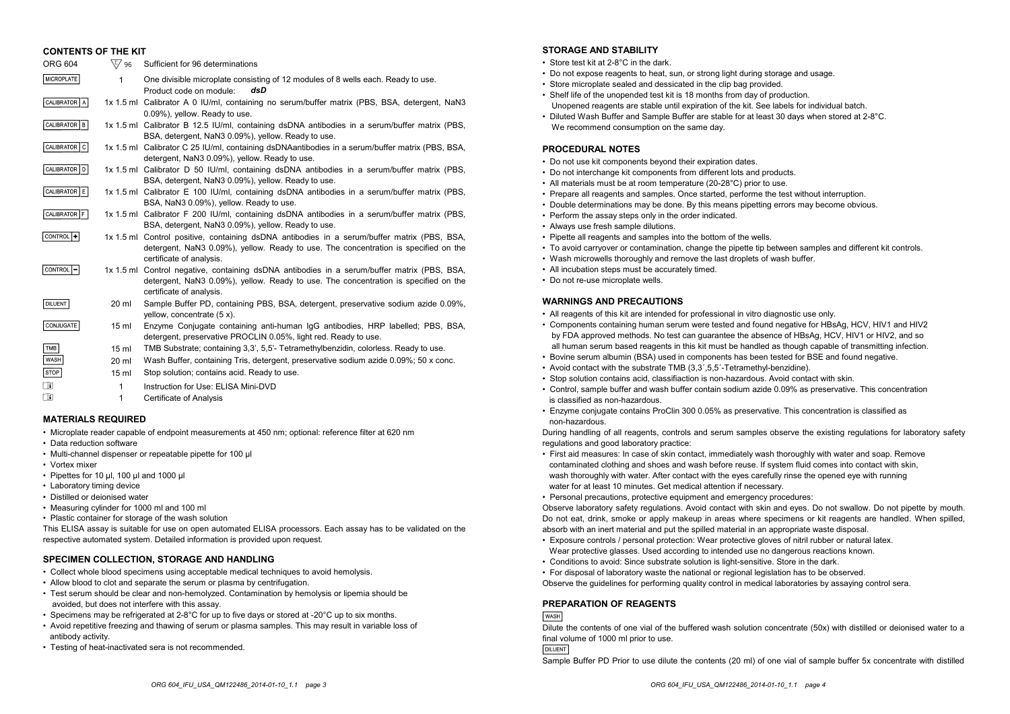| <b>CONTENTS OF THE KIT</b> |                  |                                                                                                                                                                                                                |
|----------------------------|------------------|----------------------------------------------------------------------------------------------------------------------------------------------------------------------------------------------------------------|
| <b>ORG 604</b>             | \∑⁄ 96           | Sufficient for 96 determinations                                                                                                                                                                               |
| MICROPLATE                 | 1                | One divisible microplate consisting of 12 modules of 8 wells each. Ready to use.<br>Product code on module:<br>dsD                                                                                             |
| CALIBRATOR   A             |                  | 1x 1.5 ml Calibrator A 0 IU/ml, containing no serum/buffer matrix (PBS, BSA, detergent, NaN3<br>0.09%), yellow. Ready to use.                                                                                  |
| CALIBRATOR B               |                  | 1x 1.5 ml Calibrator B 12.5 IU/ml, containing dsDNA antibodies in a serum/buffer matrix (PBS,<br>BSA, detergent, NaN3 0.09%), yellow. Ready to use.                                                            |
| CALIBRATOR   C             |                  | 1x 1.5 ml Calibrator C 25 IU/ml, containing dsDNAantibodies in a serum/buffer matrix (PBS, BSA,<br>detergent, NaN3 0.09%), yellow. Ready to use.                                                               |
| CALIBRATOR   D             |                  | 1x 1.5 ml Calibrator D 50 IU/ml, containing dsDNA antibodies in a serum/buffer matrix (PBS,<br>BSA, detergent, NaN3 0.09%), yellow. Ready to use.                                                              |
| CALIBRATOR E               |                  | 1x 1.5 ml Calibrator E 100 IU/ml, containing dsDNA antibodies in a serum/buffer matrix (PBS,<br>BSA, NaN3 0.09%), yellow. Ready to use.                                                                        |
| CALIBRATOR F               |                  | 1x 1.5 ml Calibrator F 200 IU/ml, containing dsDNA antibodies in a serum/buffer matrix (PBS,<br>BSA, detergent, NaN3 0.09%), yellow. Ready to use.                                                             |
| CONTROL <sup>+</sup>       |                  | 1x 1.5 ml Control positive, containing dsDNA antibodies in a serum/buffer matrix (PBS, BSA,<br>detergent, NaN3 0.09%), yellow. Ready to use. The concentration is specified on the<br>certificate of analysis. |
| CONTROL <sup>-</sup>       |                  | 1x 1.5 ml Control negative, containing dsDNA antibodies in a serum/buffer matrix (PBS, BSA,<br>detergent, NaN3 0.09%), yellow. Ready to use. The concentration is specified on the<br>certificate of analysis. |
| <b>DILUENT</b>             | 20 ml            | Sample Buffer PD, containing PBS, BSA, detergent, preservative sodium azide 0.09%,<br>yellow, concentrate $(5 x)$ .                                                                                            |
| CONJUGATE                  | 15 <sub>ml</sub> | Enzyme Conjugate containing anti-human IgG antibodies, HRP labelled; PBS, BSA,<br>detergent, preservative PROCLIN 0.05%, light red. Ready to use.                                                              |
| TMB                        | 15 <sub>ml</sub> | TMB Substrate; containing 3.3', 5.5'- Tetramethylbenzidin, colorless. Ready to use.                                                                                                                            |
| <b>WASH</b>                | $20 \mathrm{ml}$ | Wash Buffer, containing Tris, detergent, preservative sodium azide 0.09%; 50 x conc.                                                                                                                           |
| STOP                       | 15 <sub>ml</sub> | Stop solution; contains acid. Ready to use.                                                                                                                                                                    |
| m                          | 1                | $Instruction for Lieer$ FLISA Mini-DVD                                                                                                                                                                         |

- 1 Instruction for Use: ELISA Mini-DVD
	- 1 Certificate of Analysis

### **MATERIALS REQUIRED**

- Microplate reader capable of endpoint measurements at 450 nm; optional: reference filter at 620 nm
- Data reduction software
- Multi-channel dispenser or repeatable pipette for 100 µl
- Vortex mixer

i

- Pipettes for 10 µl, 100 µl and 1000 µl
- Laboratory timing device
- Distilled or deionised water
- Measuring cylinder for 1000 ml and 100 ml
- Plastic container for storage of the wash solution

This ELISA assay is suitable for use on open automated ELISA processors. Each assay has to be validated on the respective automated system. Detailed information is provided upon request.

# **SPECIMEN COLLECTION, STORAGE AND HANDLING**

- Collect whole blood specimens using acceptable medical techniques to avoid hemolysis.
- Allow blood to clot and separate the serum or plasma by centrifugation.
- Test serum should be clear and non-hemolyzed. Contamination by hemolysis or lipemia should be avoided, but does not interfere with this assay.
- Specimens may be refrigerated at 2-8°C for up to five days or stored at -20°C up to six months.
- Avoid repetitive freezing and thawing of serum or plasma samples. This may result in variable loss of antibody activity.
- Testing of heat-inactivated sera is not recommended.

# **STORAGE AND STABILITY**

- Store test kit at 2-8°C in the dark.
- Do not expose reagents to heat, sun, or strong light during storage and usage.
- Store microplate sealed and dessicated in the clip bag provided.
- Shelf life of the unopended test kit is 18 months from day of production.
- Unopened reagents are stable until expiration of the kit. See labels for individual batch. • Diluted Wash Buffer and Sample Buffer are stable for at least 30 days when stored at 2-8°C.
- We recommend consumption on the same day.

#### **PROCEDURAL NOTES**

- Do not use kit components beyond their expiration dates.
- Do not interchange kit components from different lots and products.
- All materials must be at room temperature (20-28°C) prior to use.
- Prepare all reagents and samples. Once started, performe the test without interruption.
- Double determinations may be done. By this means pipetting errors may become obvious.
- Perform the assay steps only in the order indicated.
- Always use fresh sample dilutions.
- Pipette all reagents and samples into the bottom of the wells.
- To avoid carryover or contamination, change the pipette tip between samples and different kit controls.
- Wash microwells thoroughly and remove the last droplets of wash buffer.
- All incubation steps must be accurately timed.
- Do not re-use microplate wells.

## **WARNINGS AND PRECAUTIONS**

- All reagents of this kit are intended for professional in vitro diagnostic use only.
- Components containing human serum were tested and found negative for HBsAg, HCV, HIV1 and HIV2 by FDA approved methods. No test can guarantee the absence of HBsAg, HCV, HIV1 or HIV2, and so all human serum based reagents in this kit must be handled as though capable of transmitting infection.
- Bovine serum albumin (BSA) used in components has been tested for BSE and found negative.
- Avoid contact with the substrate TMB (3,3´,5,5´-Tetramethyl-benzidine).
- Stop solution contains acid, classifiaction is non-hazardous. Avoid contact with skin.
- Control, sample buffer and wash buffer contain sodium azide 0.09% as preservative. This concentration is classified as non-hazardous.
- Enzyme conjugate contains ProClin 300 0.05% as preservative. This concentration is classified as non-hazardous.

During handling of all reagents, controls and serum samples observe the existing regulations for laboratory safety regulations and good laboratory practice:

- First aid measures: In case of skin contact, immediately wash thoroughly with water and soap. Remove contaminated clothing and shoes and wash before reuse. If system fluid comes into contact with skin, wash thoroughly with water. After contact with the eyes carefully rinse the opened eye with running water for at least 10 minutes. Get medical attention if necessary.
- Personal precautions, protective equipment and emergency procedures:

Observe laboratory safety regulations. Avoid contact with skin and eyes. Do not swallow. Do not pipette by mouth. Do not eat, drink, smoke or apply makeup in areas where specimens or kit reagents are handled. When spilled, absorb with an inert material and put the spilled material in an appropriate waste disposal.

- Exposure controls / personal protection: Wear protective gloves of nitril rubber or natural latex. Wear protective glasses. Used according to intended use no dangerous reactions known.
- Conditions to avoid: Since substrate solution is light-sensitive. Store in the dark.
- For disposal of laboratory waste the national or regional legislation has to be observed.

Observe the guidelines for performing quality control in medical laboratories by assaying control sera.

#### **PREPARATION OF REAGENTS**

#### **WASH**

Dilute the contents of one vial of the buffered wash solution concentrate (50x) with distilled or deionised water to a final volume of 1000 ml prior to use.

**DILUENT** 

Sample Buffer PD Prior to use dilute the contents (20 ml) of one vial of sample buffer 5x concentrate with distilled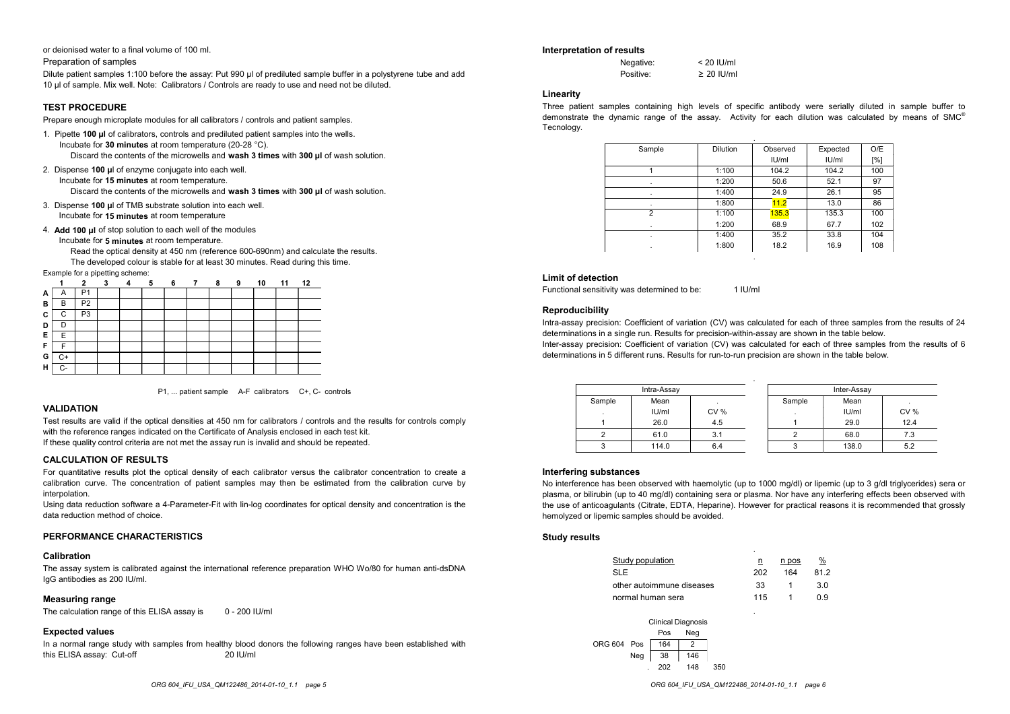or deionised water to a final volume of 100 ml.

Preparation of samples

Dilute patient samples 1:100 before the assay: Put 990 µl of prediluted sample buffer in a polystyrene tube and add 10 µl of sample. Mix well. Note: Calibrators / Controls are ready to use and need not be diluted.

### **TEST PROCEDURE**

Prepare enough microplate modules for all calibrators / controls and patient samples.

- 1. Pipette **100 µl** of calibrators, controls and prediluted patient samples into the wells. Incubate for **30 minutes** at room temperature (20-28 °C).
	- Discard the contents of the microwells and **wash 3 times** with **300 µl** of wash solution.
- 2. Dispense **100 µ**l of enzyme conjugate into each well. Incubate for **15 minutes** at room temperature.

Discard the contents of the microwells and **wash 3 times** with **300 µl** of wash solution.

- 3. Dispense **100 µ**l of TMB substrate solution into each well. Incubate for **15 minutes** at room temperature
- 4. **Add 100 µl** of stop solution to each well of the modules
	- Incubate for **5 minutes** at room temperature.

Read the optical density at 450 nm (reference 600-690nm) and calculate the results. The developed colour is stable for at least 30 minutes. Read during this time.

Example for a pipetting scheme:

|   |              |                |  | 6 | $\overline{7}$ | 8 | 9 | 10 | 11 | 12 |
|---|--------------|----------------|--|---|----------------|---|---|----|----|----|
| A | $\mathsf{A}$ |                |  |   |                |   |   |    |    |    |
| в | в            | P <sub>2</sub> |  |   |                |   |   |    |    |    |
| C | C            | P <sub>3</sub> |  |   |                |   |   |    |    |    |
| D |              |                |  |   |                |   |   |    |    |    |
| Е | F            |                |  |   |                |   |   |    |    |    |
| F |              |                |  |   |                |   |   |    |    |    |
| G | C+           |                |  |   |                |   |   |    |    |    |
| н | r.           |                |  |   |                |   |   |    |    |    |



### **VALIDATION**

Test results are valid if the optical densities at 450 nm for calibrators / controls and the results for controls comply with the reference ranges indicated on the Certificate of Analysis enclosed in each test kit. If these quality control criteria are not met the assay run is invalid and should be repeated.

### **CALCULATION OF RESULTS**

For quantitative results plot the optical density of each calibrator versus the calibrator concentration to create a calibration curve. The concentration of patient samples may then be estimated from the calibration curve by interpolation.

Using data reduction software a 4-Parameter-Fit with lin-log coordinates for optical density and concentration is the data reduction method of choice.

### **PERFORMANCE CHARACTERISTICS**

#### **Calibration**

The assay system is calibrated against the international reference preparation WHO Wo/80 for human anti-dsDNA IgG antibodies as 200 IU/ml.

### **Measuring range**

The calculation range of this ELISA assay is 0 - 200 IU/ml

### **Expected values**

In a normal range study with samples from healthy blood donors the following ranges have been established with this ELISA assay: Cut-off 20 IU/ml

#### **Interpretation of results**

| Negative: | $< 20$ IU/ml    |
|-----------|-----------------|
| Positive: | $\geq$ 20 IU/ml |

#### **Linearity**

Three patient samples containing high levels of specific antibody were serially diluted in sample buffer to demonstrate the dynamic range of the assay. Activity for each dilution was calculated by means of SMC® Tecnology.

| Sample | <b>Dilution</b> | Observed | Expected | O/E         |
|--------|-----------------|----------|----------|-------------|
|        |                 | IU/ml    | IU/ml    | $N^{\circ}$ |
|        | 1:100           | 104.2    | 104.2    | 100         |
|        | 1:200           | 50.6     | 52.1     | 97          |
| ٠      | 1:400           | 24.9     | 26.1     | 95          |
| ٠      | 1:800           | 11.2     | 13.0     | 86          |
| 2      | 1:100           | 135.3    | 135.3    | 100         |
| ٠      | 1:200           | 68.9     | 67.7     | 102         |
| ٠      | 1:400           | 35.2     | 33.8     | 104         |
| ٠      | 1:800           | 18.2     | 16.9     | 108         |

### **Limit of detection**

Functional sensitivity was determined to be: 1 IU/ml

#### **Reproducibility**

Intra-assay precision: Coefficient of variation (CV) was calculated for each of three samples from the results of 24 determinations in a single run. Results for precision-within-assay are shown in the table below. Inter-assay precision: Coefficient of variation (CV) was calculated for each of three samples from the results of 6 determinations in 5 different runs. Results for run-to-run precision are shown in the table below.

|        | Intra-Assay |             |        | Inter-Assay |      |
|--------|-------------|-------------|--------|-------------|------|
| Sample | Mean        |             | Sample | Mean        |      |
|        | IU/ml       | <b>CV %</b> |        | IU/ml       | CV%  |
|        | 26.0        | 4.5         |        | 29.0        | 12.4 |
|        | 61.0        | 3.1         |        | 68.0        | 7.3  |
|        | 114.0       | 6.4         |        | 138.0       | 5.2  |

#### **Interfering substances**

No interference has been observed with haemolytic (up to 1000 mg/dl) or lipemic (up to 3 g/dl triglycerides) sera or plasma, or bilirubin (up to 40 mg/dl) containing sera or plasma. Nor have any interfering effects been observed with the use of anticoagulants (Citrate, EDTA, Heparine). However for practical reasons it is recommended that grossly hemolyzed or lipemic samples should be avoided.

#### **Study results**

| ection         | nsitivity was determined to be:                                                                                                                                                                                                                                                                                                                                          |                               | $1$ IU/ml               |         |               |             |      |
|----------------|--------------------------------------------------------------------------------------------------------------------------------------------------------------------------------------------------------------------------------------------------------------------------------------------------------------------------------------------------------------------------|-------------------------------|-------------------------|---------|---------------|-------------|------|
| vility         |                                                                                                                                                                                                                                                                                                                                                                          |                               |                         |         |               |             |      |
|                |                                                                                                                                                                                                                                                                                                                                                                          |                               |                         |         |               |             |      |
|                | recision: Coefficient of variation (CV) was calculated for each of three samples from the<br>is in a single run. Results for precision-within-assay are shown in the table below.<br>recision: Coefficient of variation (CV) was calculated for each of three samples from the<br>is in 5 different runs. Results for run-to-run precision are shown in the table below. |                               |                         |         |               |             |      |
|                | Intra-Assay                                                                                                                                                                                                                                                                                                                                                              |                               |                         |         |               | Inter-Assay |      |
| Sample         | Mean                                                                                                                                                                                                                                                                                                                                                                     |                               |                         | Sample  |               | Mean        |      |
|                | IU/ml                                                                                                                                                                                                                                                                                                                                                                    | CV %                          |                         |         |               | IU/ml       | CV % |
| $\mathbf{1}$   | 26.0                                                                                                                                                                                                                                                                                                                                                                     | 4.5                           |                         | 1       |               | 29.0        | 12.4 |
| $\overline{2}$ | 61.0                                                                                                                                                                                                                                                                                                                                                                     | 3.1                           |                         | 2       |               | 68.0        | 7.3  |
| 3              | 114.0                                                                                                                                                                                                                                                                                                                                                                    | 6.4                           |                         | 3       |               | 138.0       | 5.2  |
| ts             | ce has been observed with haemolytic (up to 1000 mg/dl) or lipemic (up to 3 g/dl triglycer<br>lirubin (up to 40 mg/dl) containing sera or plasma. Nor have any interfering effects been o<br>ticoagulants (Citrate, EDTA, Heparine). However for practical reasons it is recommended<br>lipemic samples should be avoided.                                               |                               |                         |         |               |             |      |
|                |                                                                                                                                                                                                                                                                                                                                                                          |                               |                         |         |               |             |      |
| <b>SLE</b>     | Study population                                                                                                                                                                                                                                                                                                                                                         |                               | $\overline{\mathsf{n}}$ | $n$ pos | $\frac{9}{6}$ |             |      |
|                |                                                                                                                                                                                                                                                                                                                                                                          |                               | 202                     | 164     | 81.2          |             |      |
|                | other autoimmune diseases                                                                                                                                                                                                                                                                                                                                                |                               | 33                      | 1       | 3.0           |             |      |
|                | normal human sera                                                                                                                                                                                                                                                                                                                                                        |                               | 115                     | 1       | 0.9           |             |      |
| ORG 604 Pos    | <b>Clinical Diagnosis</b><br>Pos<br>164<br>Neg<br>38<br>202                                                                                                                                                                                                                                                                                                              | Neg<br>2<br>146<br>148<br>350 |                         |         |               |             |      |